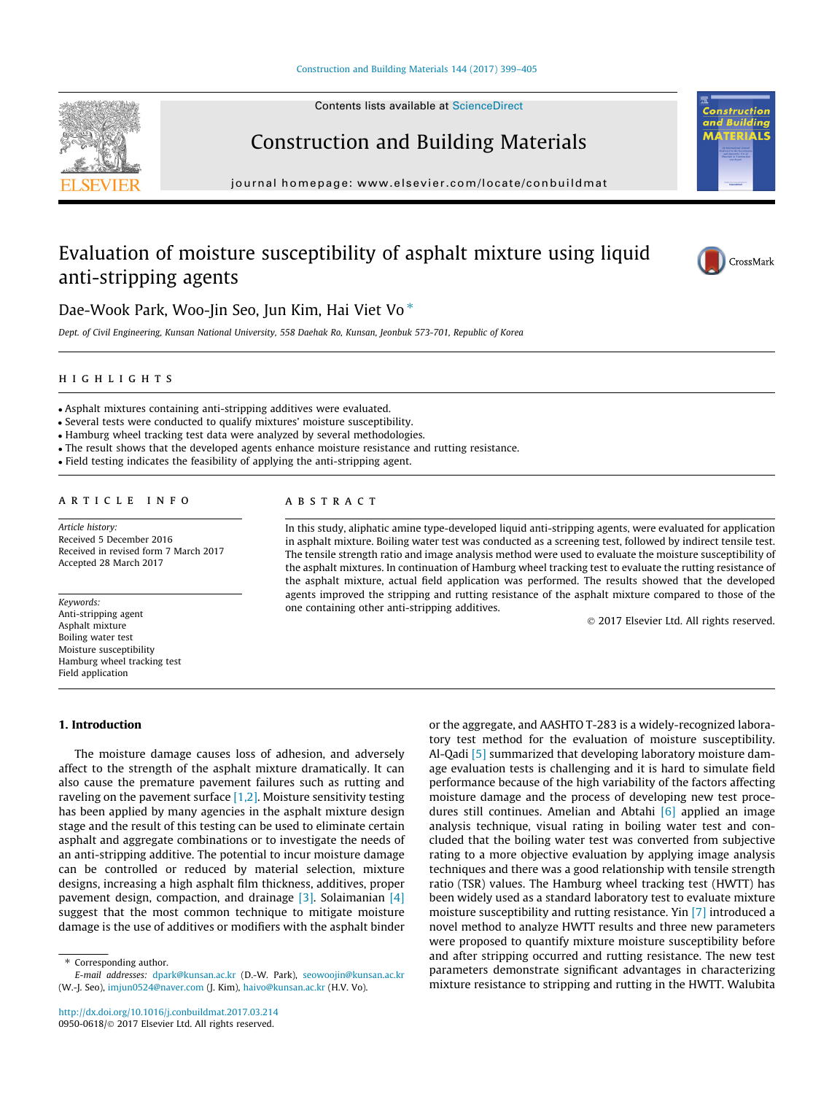Contents lists available at [ScienceDirect](http://www.sciencedirect.com/science/journal/09500618)

# Construction and Building Materials

journal homepage: [www.elsevier.com/locate/conbuildmat](http://www.elsevier.com/locate/conbuildmat)

# Evaluation of moisture susceptibility of asphalt mixture using liquid anti-stripping agents



 $\overline{\rm MS}$ 

Dae-Wook Park, Woo-Jin Seo, Jun Kim, Hai Viet Vo<sup>\*</sup>

Dept. of Civil Engineering, Kunsan National University, 558 Daehak Ro, Kunsan, Jeonbuk 573-701, Republic of Korea

# highlights are the second control of the second control of the second control of the second control of the second control of the second control of the second control of the second control of the second control of the secon

Asphalt mixtures containing anti-stripping additives were evaluated.

Several tests were conducted to qualify mixtures' moisture susceptibility.

Hamburg wheel tracking test data were analyzed by several methodologies.

The result shows that the developed agents enhance moisture resistance and rutting resistance.

Field testing indicates the feasibility of applying the anti-stripping agent.

# ARTICLE INFO

Article history: Received 5 December 2016 Received in revised form 7 March 2017 Accepted 28 March 2017

Keywords: Anti-stripping agent Asphalt mixture Boiling water test Moisture susceptibility Hamburg wheel tracking test Field application

# **ABSTRACT**

In this study, aliphatic amine type-developed liquid anti-stripping agents, were evaluated for application in asphalt mixture. Boiling water test was conducted as a screening test, followed by indirect tensile test. The tensile strength ratio and image analysis method were used to evaluate the moisture susceptibility of the asphalt mixtures. In continuation of Hamburg wheel tracking test to evaluate the rutting resistance of the asphalt mixture, actual field application was performed. The results showed that the developed agents improved the stripping and rutting resistance of the asphalt mixture compared to those of the one containing other anti-stripping additives.

2017 Elsevier Ltd. All rights reserved.

## 1. Introduction

The moisture damage causes loss of adhesion, and adversely affect to the strength of the asphalt mixture dramatically. It can also cause the premature pavement failures such as rutting and raveling on the pavement surface [\[1,2\].](#page--1-0) Moisture sensitivity testing has been applied by many agencies in the asphalt mixture design stage and the result of this testing can be used to eliminate certain asphalt and aggregate combinations or to investigate the needs of an anti-stripping additive. The potential to incur moisture damage can be controlled or reduced by material selection, mixture designs, increasing a high asphalt film thickness, additives, proper pavement design, compaction, and drainage [\[3\].](#page--1-0) Solaimanian [\[4\]](#page--1-0) suggest that the most common technique to mitigate moisture damage is the use of additives or modifiers with the asphalt binder

or the aggregate, and AASHTO T-283 is a widely-recognized laboratory test method for the evaluation of moisture susceptibility. Al-Qadi [\[5\]](#page--1-0) summarized that developing laboratory moisture damage evaluation tests is challenging and it is hard to simulate field performance because of the high variability of the factors affecting moisture damage and the process of developing new test procedures still continues. Amelian and Abtahi  $[6]$  applied an image analysis technique, visual rating in boiling water test and concluded that the boiling water test was converted from subjective rating to a more objective evaluation by applying image analysis techniques and there was a good relationship with tensile strength ratio (TSR) values. The Hamburg wheel tracking test (HWTT) has been widely used as a standard laboratory test to evaluate mixture moisture susceptibility and rutting resistance. Yin [\[7\]](#page--1-0) introduced a novel method to analyze HWTT results and three new parameters were proposed to quantify mixture moisture susceptibility before and after stripping occurred and rutting resistance. The new test parameters demonstrate significant advantages in characterizing mixture resistance to stripping and rutting in the HWTT. Walubita



<sup>⇑</sup> Corresponding author.

E-mail addresses: [dpark@kunsan.ac.kr](mailto:dpark@kunsan.ac.kr) (D.-W. Park), [seowoojin@kunsan.ac.kr](mailto:seowoojin@kunsan.ac.kr) (W.-J. Seo), [imjun0524@naver.com](mailto:imjun0524@naver.com) (J. Kim), [haivo@kunsan.ac.kr](mailto:haivo@kunsan.ac.kr) (H.V. Vo).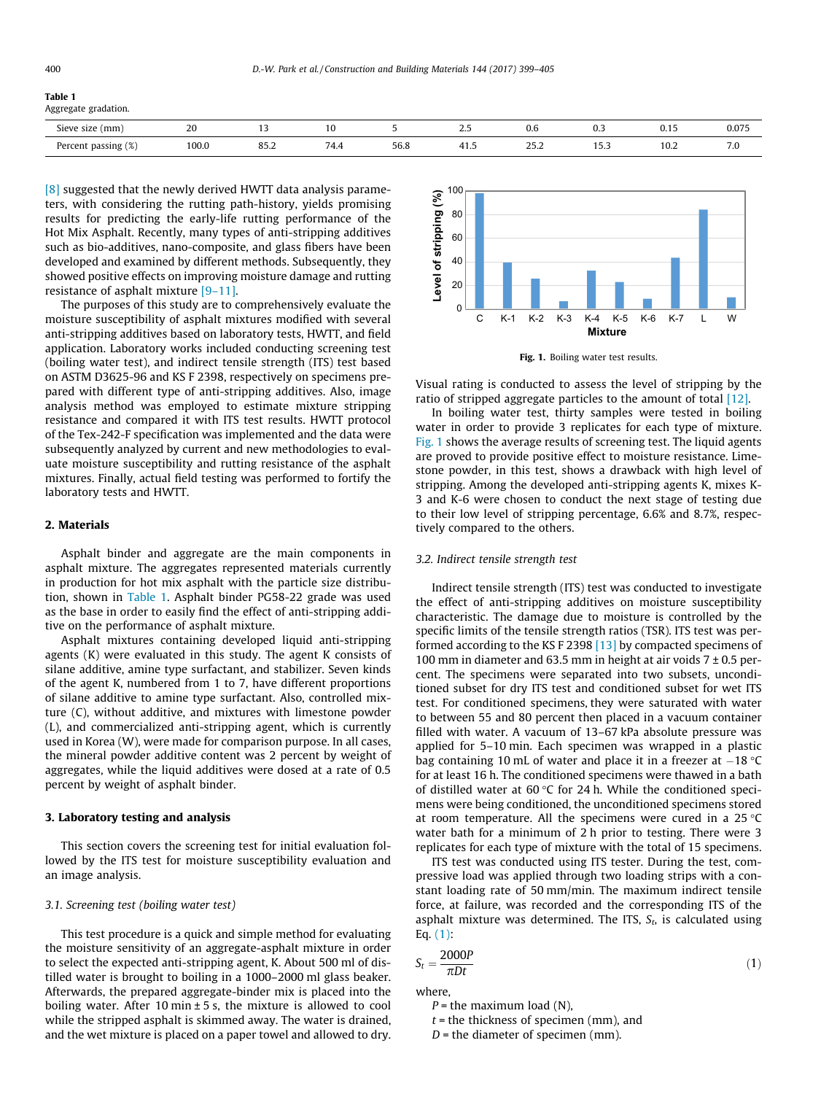#### Table 1

Aggregate gradation.

| (mm<br><b>Sieve</b><br>size               | $\Omega$<br>∠∪ |                                  | . .         |                                         | ر. ت     | v.v<br>.            | . | <b>U.IJ</b><br>. | 0.075<br>. |
|-------------------------------------------|----------------|----------------------------------|-------------|-----------------------------------------|----------|---------------------|---|------------------|------------|
| $\cdots$<br>Percent<br>passing<br>70<br>ີ | 100.0          | $\Omega$ $\Gamma$ .<br>83.Z<br>. | ' /I<br>7.7 | $\Gamma$ $\Gamma$ $\Gamma$<br>JU.U<br>. | -- - - - | $\sim$ $-$<br>ے.ں ے |   | 1 U.Z            | $\cdot$ .  |

[\[8\]](#page--1-0) suggested that the newly derived HWTT data analysis parameters, with considering the rutting path-history, yields promising results for predicting the early-life rutting performance of the Hot Mix Asphalt. Recently, many types of anti-stripping additives such as bio-additives, nano-composite, and glass fibers have been developed and examined by different methods. Subsequently, they showed positive effects on improving moisture damage and rutting resistance of asphalt mixture [\[9–11\]](#page--1-0).

The purposes of this study are to comprehensively evaluate the moisture susceptibility of asphalt mixtures modified with several anti-stripping additives based on laboratory tests, HWTT, and field application. Laboratory works included conducting screening test (boiling water test), and indirect tensile strength (ITS) test based on ASTM D3625-96 and KS F 2398, respectively on specimens prepared with different type of anti-stripping additives. Also, image analysis method was employed to estimate mixture stripping resistance and compared it with ITS test results. HWTT protocol of the Tex-242-F specification was implemented and the data were subsequently analyzed by current and new methodologies to evaluate moisture susceptibility and rutting resistance of the asphalt mixtures. Finally, actual field testing was performed to fortify the laboratory tests and HWTT.

## 2. Materials

Asphalt binder and aggregate are the main components in asphalt mixture. The aggregates represented materials currently in production for hot mix asphalt with the particle size distribution, shown in Table 1. Asphalt binder PG58-22 grade was used as the base in order to easily find the effect of anti-stripping additive on the performance of asphalt mixture.

Asphalt mixtures containing developed liquid anti-stripping agents (K) were evaluated in this study. The agent K consists of silane additive, amine type surfactant, and stabilizer. Seven kinds of the agent K, numbered from 1 to 7, have different proportions of silane additive to amine type surfactant. Also, controlled mixture (C), without additive, and mixtures with limestone powder (L), and commercialized anti-stripping agent, which is currently used in Korea (W), were made for comparison purpose. In all cases, the mineral powder additive content was 2 percent by weight of aggregates, while the liquid additives were dosed at a rate of 0.5 percent by weight of asphalt binder.

## 3. Laboratory testing and analysis

This section covers the screening test for initial evaluation followed by the ITS test for moisture susceptibility evaluation and an image analysis.

#### 3.1. Screening test (boiling water test)

This test procedure is a quick and simple method for evaluating the moisture sensitivity of an aggregate-asphalt mixture in order to select the expected anti-stripping agent, K. About 500 ml of distilled water is brought to boiling in a 1000–2000 ml glass beaker. Afterwards, the prepared aggregate-binder mix is placed into the boiling water. After 10 min  $\pm$  5 s, the mixture is allowed to cool while the stripped asphalt is skimmed away. The water is drained, and the wet mixture is placed on a paper towel and allowed to dry.





Visual rating is conducted to assess the level of stripping by the ratio of stripped aggregate particles to the amount of total [\[12\]](#page--1-0).

In boiling water test, thirty samples were tested in boiling water in order to provide 3 replicates for each type of mixture. Fig. 1 shows the average results of screening test. The liquid agents are proved to provide positive effect to moisture resistance. Limestone powder, in this test, shows a drawback with high level of stripping. Among the developed anti-stripping agents K, mixes K-3 and K-6 were chosen to conduct the next stage of testing due to their low level of stripping percentage, 6.6% and 8.7%, respectively compared to the others.

## 3.2. Indirect tensile strength test

Indirect tensile strength (ITS) test was conducted to investigate the effect of anti-stripping additives on moisture susceptibility characteristic. The damage due to moisture is controlled by the specific limits of the tensile strength ratios (TSR). ITS test was performed according to the KS F 2398 [\[13\]](#page--1-0) by compacted specimens of 100 mm in diameter and 63.5 mm in height at air voids  $7 \pm 0.5$  percent. The specimens were separated into two subsets, unconditioned subset for dry ITS test and conditioned subset for wet ITS test. For conditioned specimens, they were saturated with water to between 55 and 80 percent then placed in a vacuum container filled with water. A vacuum of 13–67 kPa absolute pressure was applied for 5–10 min. Each specimen was wrapped in a plastic bag containing 10 mL of water and place it in a freezer at  $-18$  °C for at least 16 h. The conditioned specimens were thawed in a bath of distilled water at  $60 °C$  for 24 h. While the conditioned specimens were being conditioned, the unconditioned specimens stored at room temperature. All the specimens were cured in a  $25^{\circ}$ C water bath for a minimum of 2 h prior to testing. There were 3 replicates for each type of mixture with the total of 15 specimens.

ITS test was conducted using ITS tester. During the test, compressive load was applied through two loading strips with a constant loading rate of 50 mm/min. The maximum indirect tensile force, at failure, was recorded and the corresponding ITS of the asphalt mixture was determined. The ITS,  $S_t$ , is calculated using Eq. (1):

$$
S_t = \frac{2000P}{\pi Dt} \tag{1}
$$

where,

 $P =$  the maximum load (N),

 $t =$  the thickness of specimen (mm), and

 $D =$  the diameter of specimen (mm).